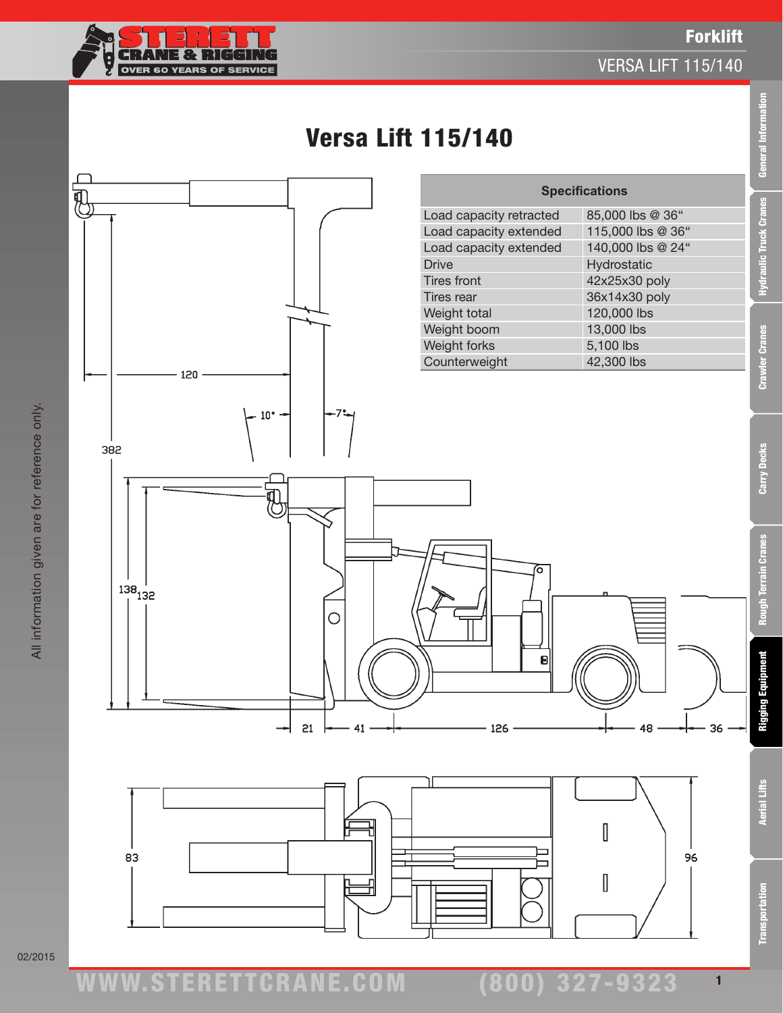

Transportation Aerial Lifts Rigging Equipment Rough Terrain Cranes Carry Decks Crawler Cranes Hydraulic Truck Cranes General Information

th Terrain Cranes

ē

Rigging Equipment

**Aerial Lifts** 

**Transportation** 

Carry Decks

General Informati

**Hydraulic Truck Cranes** 

**Crawler Cranes** 

1

# Versa Lift 115/140



(800) 327-9323

02/2015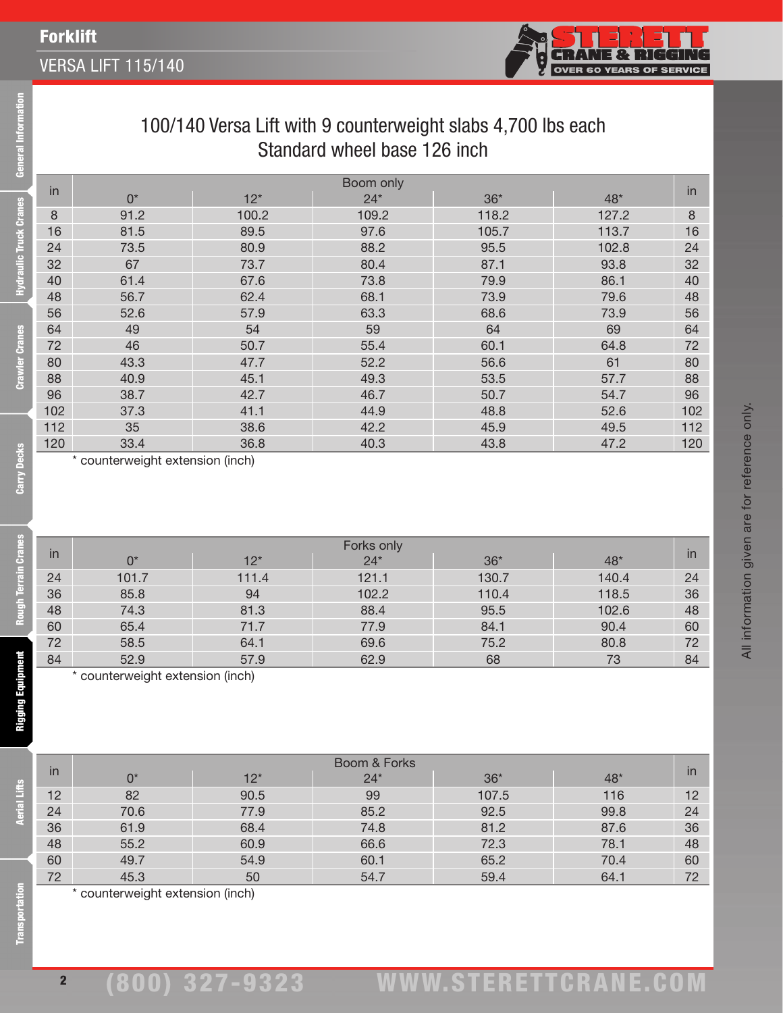## Forklift

Information

**Hydraulic Truck Cranes** 

**Crawler Cranes** 

Carry Decks

#### VERSA LIFT 115/140



All information given are for reference only.

All information given are for reference only.

### 100/140 Versa Lift with 9 counterweight slabs 4,700 lbs each Standard wheel base 126 inch

|     | Boom only |       |       |       |       |     |
|-----|-----------|-------|-------|-------|-------|-----|
| in  | $0^*$     | $12*$ | $24*$ | $36*$ | 48*   | in  |
| 8   | 91.2      | 100.2 | 109.2 | 118.2 | 127.2 | 8   |
| 16  | 81.5      | 89.5  | 97.6  | 105.7 | 113.7 | 16  |
| 24  | 73.5      | 80.9  | 88.2  | 95.5  | 102.8 | 24  |
| 32  | 67        | 73.7  | 80.4  | 87.1  | 93.8  | 32  |
| 40  | 61.4      | 67.6  | 73.8  | 79.9  | 86.1  | 40  |
| 48  | 56.7      | 62.4  | 68.1  | 73.9  | 79.6  | 48  |
| 56  | 52.6      | 57.9  | 63.3  | 68.6  | 73.9  | 56  |
| 64  | 49        | 54    | 59    | 64    | 69    | 64  |
| 72  | 46        | 50.7  | 55.4  | 60.1  | 64.8  | 72  |
| 80  | 43.3      | 47.7  | 52.2  | 56.6  | 61    | 80  |
| 88  | 40.9      | 45.1  | 49.3  | 53.5  | 57.7  | 88  |
| 96  | 38.7      | 42.7  | 46.7  | 50.7  | 54.7  | 96  |
| 102 | 37.3      | 41.1  | 44.9  | 48.8  | 52.6  | 102 |
| 112 | 35        | 38.6  | 42.2  | 45.9  | 49.5  | 112 |
| 120 | 33.4      | 36.8  | 40.3  | 43.8  | 47.2  | 120 |

\* counterweight extension (inch)

| in | Forks only |       |       |       |       |                          |
|----|------------|-------|-------|-------|-------|--------------------------|
|    | 0*         | $12*$ | $24*$ | $36*$ | 48*   | $\overline{\mathsf{in}}$ |
| 24 | 101.7      | 111.4 | 121.1 | 130.7 | 140.4 | 24                       |
| 36 | 85.8       | 94    | 102.2 | 110.4 | 118.5 | 36                       |
| 48 | 74.3       | 81.3  | 88.4  | 95.5  | 102.6 | 48                       |
| 60 | 65.4       | 71.7  | 77.9  | 84.1  | 90.4  | 60                       |
| 72 | 58.5       | 64.1  | 69.6  | 75.2  | 80.8  | 72                       |
| 84 | 52.9       | 57.9  | 62.9  | 68    | 73    | 84                       |
|    |            | .     |       |       |       |                          |

\* counterweight extension (inch)

| in | Boom & Forks                |       |       |       |      |    |
|----|-----------------------------|-------|-------|-------|------|----|
|    | 0*                          | $12*$ | $24*$ | $36*$ | 48*  | in |
| 12 | 82                          | 90.5  | 99    | 107.5 | 116  | 12 |
| 24 | 70.6                        | 77.9  | 85.2  | 92.5  | 99.8 | 24 |
| 36 | 61.9                        | 68.4  | 74.8  | 81.2  | 87.6 | 36 |
| 48 | 55.2                        | 60.9  | 66.6  | 72.3  | 78.1 | 48 |
| 60 | 49.7                        | 54.9  | 60.1  | 65.2  | 70.4 | 60 |
| 72 | 45.3                        | 50    | 54.7  | 59.4  | 64.1 | 72 |
|    | $\sim$ $\sim$ $\sim$ $\sim$ |       |       |       |      |    |

\* counterweight extension (inch)

2